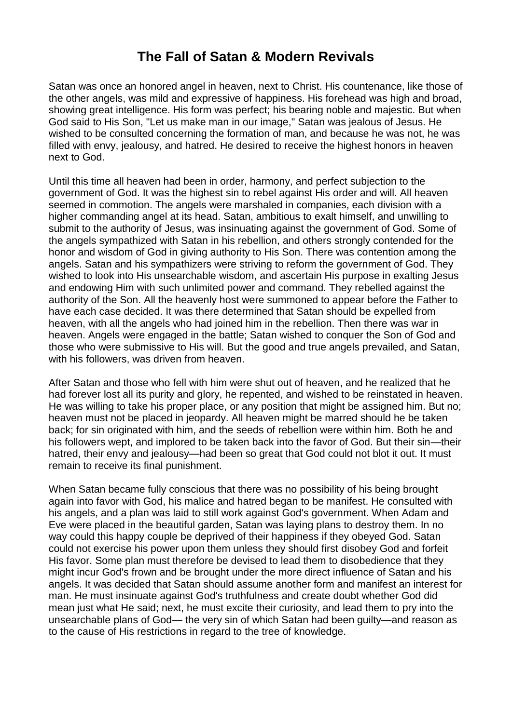## **The Fall of Satan & Modern Revivals**

Satan was once an honored angel in heaven, next to Christ. His countenance, like those of the other angels, was mild and expressive of happiness. His forehead was high and broad, showing great intelligence. His form was perfect; his bearing noble and majestic. But when God said to His Son, "Let us make man in our image," Satan was jealous of Jesus. He wished to be consulted concerning the formation of man, and because he was not, he was filled with envy, jealousy, and hatred. He desired to receive the highest honors in heaven next to God.

Until this time all heaven had been in order, harmony, and perfect subjection to the government of God. It was the highest sin to rebel against His order and will. All heaven seemed in commotion. The angels were marshaled in companies, each division with a higher commanding angel at its head. Satan, ambitious to exalt himself, and unwilling to submit to the authority of Jesus, was insinuating against the government of God. Some of the angels sympathized with Satan in his rebellion, and others strongly contended for the honor and wisdom of God in giving authority to His Son. There was contention among the angels. Satan and his sympathizers were striving to reform the government of God. They wished to look into His unsearchable wisdom, and ascertain His purpose in exalting Jesus and endowing Him with such unlimited power and command. They rebelled against the authority of the Son. All the heavenly host were summoned to appear before the Father to have each case decided. It was there determined that Satan should be expelled from heaven, with all the angels who had joined him in the rebellion. Then there was war in heaven. Angels were engaged in the battle; Satan wished to conquer the Son of God and those who were submissive to His will. But the good and true angels prevailed, and Satan, with his followers, was driven from heaven.

After Satan and those who fell with him were shut out of heaven, and he realized that he had forever lost all its purity and glory, he repented, and wished to be reinstated in heaven. He was willing to take his proper place, or any position that might be assigned him. But no; heaven must not be placed in jeopardy. All heaven might be marred should he be taken back; for sin originated with him, and the seeds of rebellion were within him. Both he and his followers wept, and implored to be taken back into the favor of God. But their sin—their hatred, their envy and jealousy—had been so great that God could not blot it out. It must remain to receive its final punishment.

When Satan became fully conscious that there was no possibility of his being brought again into favor with God, his malice and hatred began to be manifest. He consulted with his angels, and a plan was laid to still work against God's government. When Adam and Eve were placed in the beautiful garden, Satan was laying plans to destroy them. In no way could this happy couple be deprived of their happiness if they obeyed God. Satan could not exercise his power upon them unless they should first disobey God and forfeit His favor. Some plan must therefore be devised to lead them to disobedience that they might incur God's frown and be brought under the more direct influence of Satan and his angels. It was decided that Satan should assume another form and manifest an interest for man. He must insinuate against God's truthfulness and create doubt whether God did mean just what He said; next, he must excite their curiosity, and lead them to pry into the unsearchable plans of God— the very sin of which Satan had been guilty—and reason as to the cause of His restrictions in regard to the tree of knowledge.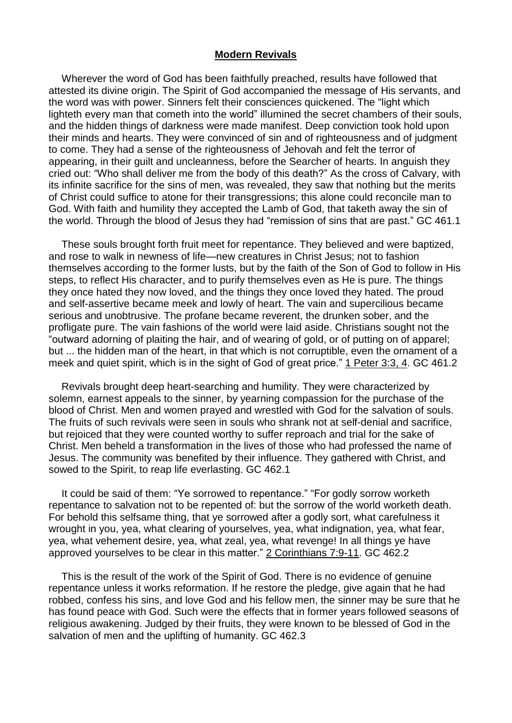## **Modern Revivals**

Wherever the word of God has been faithfully preached, results have followed that attested its divine origin. The Spirit of God accompanied the message of His servants, and the word was with power. Sinners felt their consciences quickened. The "light which lighteth every man that cometh into the world" illumined the secret chambers of their souls, and the hidden things of darkness were made manifest. Deep conviction took hold upon their minds and hearts. They were convinced of sin and of righteousness and of judgment to come. They had a sense of the righteousness of Jehovah and felt the terror of appearing, in their guilt and uncleanness, before the Searcher of hearts. In anguish they cried out: "Who shall deliver me from the body of this death?" As the cross of Calvary, with its infinite sacrifice for the sins of men, was revealed, they saw that nothing but the merits of Christ could suffice to atone for their transgressions; this alone could reconcile man to God. With faith and humility they accepted the Lamb of God, that taketh away the sin of the world. Through the blood of Jesus they had "remission of sins that are past." GC 461.1

These souls brought forth fruit meet for repentance. They believed and were baptized, and rose to walk in newness of life—new creatures in Christ Jesus; not to fashion themselves according to the former lusts, but by the faith of the Son of God to follow in His steps, to reflect His character, and to purify themselves even as He is pure. The things they once hated they now loved, and the things they once loved they hated. The proud and self-assertive became meek and lowly of heart. The vain and supercilious became serious and unobtrusive. The profane became reverent, the drunken sober, and the profligate pure. The vain fashions of the world were laid aside. Christians sought not the "outward adorning of plaiting the hair, and of wearing of gold, or of putting on of apparel; but ... the hidden man of the heart, in that which is not corruptible, even the ornament of a meek and quiet spirit, which is in the sight of God of great price." 1 [Peter](https://m.egwwritings.org/en/book/1965.62071#62071) 3:3, 4. GC 461.2

Revivals brought deep heart-searching and humility. They were characterized by solemn, earnest appeals to the sinner, by yearning compassion for the purchase of the blood of Christ. Men and women prayed and wrestled with God for the salvation of souls. The fruits of such revivals were seen in souls who shrank not at self-denial and sacrifice, but rejoiced that they were counted worthy to suffer reproach and trial for the sake of Christ. Men beheld a transformation in the lives of those who had professed the name of Jesus. The community was benefited by their influence. They gathered with Christ, and sowed to the Spirit, to reap life everlasting. GC 462.1

It could be said of them: "Ye sorrowed to repentance." "For godly sorrow worketh repentance to salvation not to be repented of: but the sorrow of the world worketh death. For behold this selfsame thing, that ye sorrowed after a godly sort, what carefulness it wrought in you, yea, what clearing of yourselves, yea, what indignation, yea, what fear, yea, what vehement desire, yea, what zeal, yea, what revenge! In all things ye have approved yourselves to be clear in this matter." 2 [Corinthians](https://m.egwwritings.org/en/book/1965.58985#58985) 7:9-11. GC 462.2

This is the result of the work of the Spirit of God. There is no evidence of genuine repentance unless it works reformation. If he restore the pledge, give again that he had robbed, confess his sins, and love God and his fellow men, the sinner may be sure that he has found peace with God. Such were the effects that in former years followed seasons of religious awakening. Judged by their fruits, they were known to be blessed of God in the salvation of men and the uplifting of humanity. GC 462.3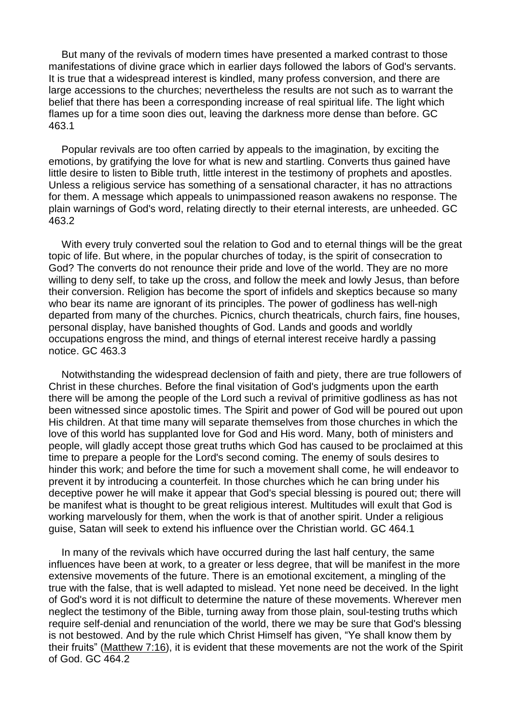But many of the revivals of modern times have presented a marked contrast to those manifestations of divine grace which in earlier days followed the labors of God's servants. It is true that a widespread interest is kindled, many profess conversion, and there are large accessions to the churches; nevertheless the results are not such as to warrant the belief that there has been a corresponding increase of real spiritual life. The light which flames up for a time soon dies out, leaving the darkness more dense than before. GC 463.1

Popular revivals are too often carried by appeals to the imagination, by exciting the emotions, by gratifying the love for what is new and startling. Converts thus gained have little desire to listen to Bible truth, little interest in the testimony of prophets and apostles. Unless a religious service has something of a sensational character, it has no attractions for them. A message which appeals to unimpassioned reason awakens no response. The plain warnings of God's word, relating directly to their eternal interests, are unheeded. GC 463.2

With every truly converted soul the relation to God and to eternal things will be the great topic of life. But where, in the popular churches of today, is the spirit of consecration to God? The converts do not renounce their pride and love of the world. They are no more willing to deny self, to take up the cross, and follow the meek and lowly Jesus, than before their conversion. Religion has become the sport of infidels and skeptics because so many who bear its name are ignorant of its principles. The power of godliness has well-nigh departed from many of the churches. Picnics, church theatricals, church fairs, fine houses, personal display, have banished thoughts of God. Lands and goods and worldly occupations engross the mind, and things of eternal interest receive hardly a passing notice. GC 463.3

Notwithstanding the widespread declension of faith and piety, there are true followers of Christ in these churches. Before the final visitation of God's judgments upon the earth there will be among the people of the Lord such a revival of primitive godliness as has not been witnessed since apostolic times. The Spirit and power of God will be poured out upon His children. At that time many will separate themselves from those churches in which the love of this world has supplanted love for God and His word. Many, both of ministers and people, will gladly accept those great truths which God has caused to be proclaimed at this time to prepare a people for the Lord's second coming. The enemy of souls desires to hinder this work; and before the time for such a movement shall come, he will endeavor to prevent it by introducing a counterfeit. In those churches which he can bring under his deceptive power he will make it appear that God's special blessing is poured out; there will be manifest what is thought to be great religious interest. Multitudes will exult that God is working marvelously for them, when the work is that of another spirit. Under a religious guise, Satan will seek to extend his influence over the Christian world. GC 464.1

In many of the revivals which have occurred during the last half century, the same influences have been at work, to a greater or less degree, that will be manifest in the more extensive movements of the future. There is an emotional excitement, a mingling of the true with the false, that is well adapted to mislead. Yet none need be deceived. In the light of God's word it is not difficult to determine the nature of these movements. Wherever men neglect the testimony of the Bible, turning away from those plain, soul-testing truths which require self-denial and renunciation of the world, there we may be sure that God's blessing is not bestowed. And by the rule which Christ Himself has given, "Ye shall know them by their fruits" [\(Matthew](https://m.egwwritings.org/en/book/1965.47643#47643) 7:16), it is evident that these movements are not the work of the Spirit of God. GC 464.2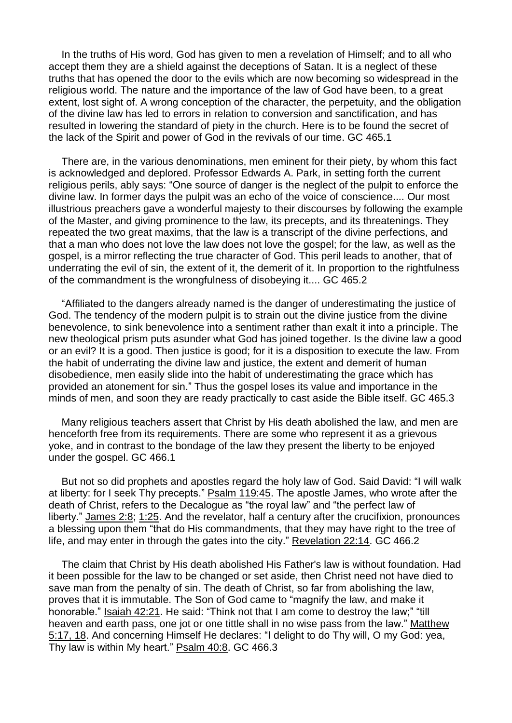In the truths of His word, God has given to men a revelation of Himself; and to all who accept them they are a shield against the deceptions of Satan. It is a neglect of these truths that has opened the door to the evils which are now becoming so widespread in the religious world. The nature and the importance of the law of God have been, to a great extent, lost sight of. A wrong conception of the character, the perpetuity, and the obligation of the divine law has led to errors in relation to conversion and sanctification, and has resulted in lowering the standard of piety in the church. Here is to be found the secret of the lack of the Spirit and power of God in the revivals of our time. GC 465.1

There are, in the various denominations, men eminent for their piety, by whom this fact is acknowledged and deplored. Professor Edwards A. Park, in setting forth the current religious perils, ably says: "One source of danger is the neglect of the pulpit to enforce the divine law. In former days the pulpit was an echo of the voice of conscience.... Our most illustrious preachers gave a wonderful majesty to their discourses by following the example of the Master, and giving prominence to the law, its precepts, and its threatenings. They repeated the two great maxims, that the law is a transcript of the divine perfections, and that a man who does not love the law does not love the gospel; for the law, as well as the gospel, is a mirror reflecting the true character of God. This peril leads to another, that of underrating the evil of sin, the extent of it, the demerit of it. In proportion to the rightfulness of the commandment is the wrongfulness of disobeying it.... GC 465.2

"Affiliated to the dangers already named is the danger of underestimating the justice of God. The tendency of the modern pulpit is to strain out the divine justice from the divine benevolence, to sink benevolence into a sentiment rather than exalt it into a principle. The new theological prism puts asunder what God has joined together. Is the divine law a good or an evil? It is a good. Then justice is good; for it is a disposition to execute the law. From the habit of underrating the divine law and justice, the extent and demerit of human disobedience, men easily slide into the habit of underestimating the grace which has provided an atonement for sin." Thus the gospel loses its value and importance in the minds of men, and soon they are ready practically to cast aside the Bible itself. GC 465.3

Many religious teachers assert that Christ by His death abolished the law, and men are henceforth free from its requirements. There are some who represent it as a grievous yoke, and in contrast to the bondage of the law they present the liberty to be enjoyed under the gospel. GC 466.1

But not so did prophets and apostles regard the holy law of God. Said David: "I will walk at liberty: for I seek Thy precepts." Psalm [119:45.](https://m.egwwritings.org/en/book/1965.32505#32505) The apostle James, who wrote after the death of Christ, refers to the Decalogue as "the royal law" and "the perfect law of liberty." [James](https://m.egwwritings.org/en/book/1965.61812#61812) 2:8; [1:25.](https://m.egwwritings.org/en/book/1965.61791#61791) And the revelator, half a century after the crucifixion, pronounces a blessing upon them "that do His commandments, that they may have right to the tree of life, and may enter in through the gates into the city." [Revelation](https://m.egwwritings.org/en/book/1965.63446#63446) 22:14. GC 466.2

The claim that Christ by His death abolished His Father's law is without foundation. Had it been possible for the law to be changed or set aside, then Christ need not have died to save man from the penalty of sin. The death of Christ, so far from abolishing the law, proves that it is immutable. The Son of God came to "magnify the law, and make it honorable." [Isaiah](https://m.egwwritings.org/en/book/1965.37749#37749) 42:21. He said: "Think not that I am come to destroy the law;" "till heaven and earth pass, one jot or one tittle shall in no wise pass from the law." [Matthew](https://m.egwwritings.org/en/book/1965.47479#47479) [5:17,](https://m.egwwritings.org/en/book/1965.47479#47479) 18. And concerning Himself He declares: "I delight to do Thy will, O my God: yea, Thy law is within My heart." [Psalm](https://m.egwwritings.org/en/book/1965.29606#29606) 40:8. GC 466.3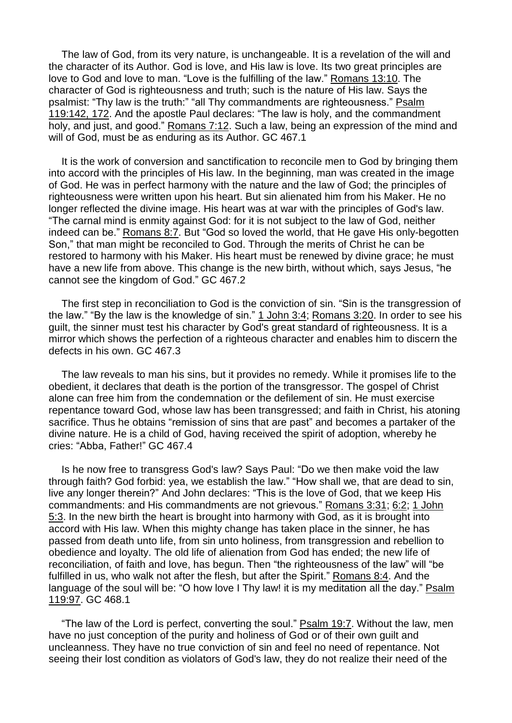The law of God, from its very nature, is unchangeable. It is a revelation of the will and the character of its Author. God is love, and His law is love. Its two great principles are love to God and love to man. "Love is the fulfilling of the law." [Romans](https://m.egwwritings.org/en/book/1965.57659#57659) 13:10. The character of God is righteousness and truth; such is the nature of His law. Says the psalmist: "Thy law is the truth:" "all Thy commandments are righteousness." [Psalm](https://m.egwwritings.org/en/book/1965.32699#32699) [119:142,](https://m.egwwritings.org/en/book/1965.32699#32699) 172. And the apostle Paul declares: "The law is holy, and the commandment holy, and just, and good." [Romans](https://m.egwwritings.org/en/book/1965.57307#57307) 7:12. Such a law, being an expression of the mind and will of God, must be as enduring as its Author. GC 467.1

It is the work of conversion and sanctification to reconcile men to God by bringing them into accord with the principles of His law. In the beginning, man was created in the image of God. He was in perfect harmony with the nature and the law of God; the principles of righteousness were written upon his heart. But sin alienated him from his Maker. He no longer reflected the divine image. His heart was at war with the principles of God's law. "The carnal mind is enmity against God: for it is not subject to the law of God, neither indeed can be." [Romans](https://m.egwwritings.org/en/book/1965.57348#57348) 8:7. But "God so loved the world, that He gave His only-begotten Son," that man might be reconciled to God. Through the merits of Christ he can be restored to harmony with his Maker. His heart must be renewed by divine grace; he must have a new life from above. This change is the new birth, without which, says Jesus, "he cannot see the kingdom of God." GC 467.2

The first step in reconciliation to God is the conviction of sin. "Sin is the transgression of the law." "By the law is the knowledge of sin." 1 [John](https://m.egwwritings.org/en/book/1965.62393#62393) 3:4; [Romans](https://m.egwwritings.org/en/book/1965.57119#57119) 3:20. In order to see his guilt, the sinner must test his character by God's great standard of righteousness. It is a mirror which shows the perfection of a righteous character and enables him to discern the defects in his own. GC 467.3

The law reveals to man his sins, but it provides no remedy. While it promises life to the obedient, it declares that death is the portion of the transgressor. The gospel of Christ alone can free him from the condemnation or the defilement of sin. He must exercise repentance toward God, whose law has been transgressed; and faith in Christ, his atoning sacrifice. Thus he obtains "remission of sins that are past" and becomes a partaker of the divine nature. He is a child of God, having received the spirit of adoption, whereby he cries: "Abba, Father!" GC 467.4

Is he now free to transgress God's law? Says Paul: "Do we then make void the law through faith? God forbid: yea, we establish the law." "How shall we, that are dead to sin, live any longer therein?" And John declares: "This is the love of God, that we keep His commandments: and His commandments are not grievous." [Romans](https://m.egwwritings.org/en/book/1965.57141#57141) 3:31; [6:2;](https://m.egwwritings.org/en/book/1965.57240#57240) 1 [John](https://m.egwwritings.org/en/book/1965.62483#62483) [5:3.](https://m.egwwritings.org/en/book/1965.62483#62483) In the new birth the heart is brought into harmony with God, as it is brought into accord with His law. When this mighty change has taken place in the sinner, he has passed from death unto life, from sin unto holiness, from transgression and rebellion to obedience and loyalty. The old life of alienation from God has ended; the new life of reconciliation, of faith and love, has begun. Then "the righteousness of the law" will "be fulfilled in us, who walk not after the flesh, but after the Spirit." [Romans](https://m.egwwritings.org/en/book/1965.57342#57342) 8:4. And the language of the soul will be: "O how love I Thy law! it is my meditation all the day." [Psalm](https://m.egwwritings.org/en/book/1965.32609#32609) [119:97.](https://m.egwwritings.org/en/book/1965.32609#32609) GC 468.1

"The law of the Lord is perfect, converting the soul." **[Psalm](https://m.egwwritings.org/en/book/1965.28869#28869) 19:7.** Without the law, men have no just conception of the purity and holiness of God or of their own guilt and uncleanness. They have no true conviction of sin and feel no need of repentance. Not seeing their lost condition as violators of God's law, they do not realize their need of the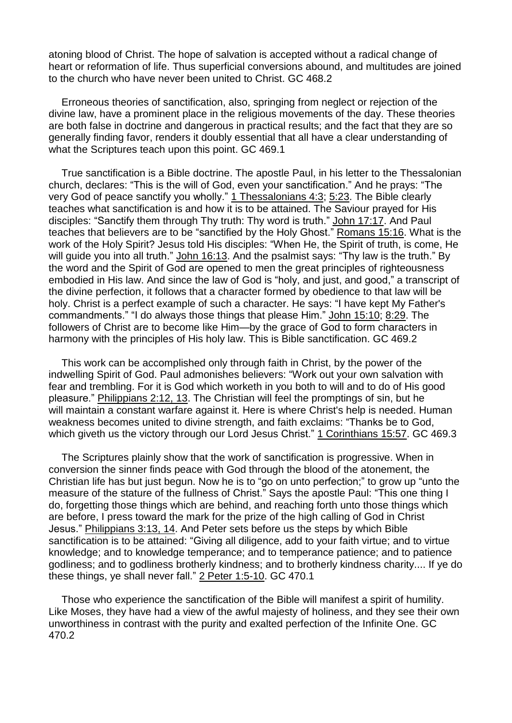atoning blood of Christ. The hope of salvation is accepted without a radical change of heart or reformation of life. Thus superficial conversions abound, and multitudes are joined to the church who have never been united to Christ. GC 468.2

Erroneous theories of sanctification, also, springing from neglect or rejection of the divine law, have a prominent place in the religious movements of the day. These theories are both false in doctrine and dangerous in practical results; and the fact that they are so generally finding favor, renders it doubly essential that all have a clear understanding of what the Scriptures teach upon this point. GC 469.1

True sanctification is a Bible doctrine. The apostle Paul, in his letter to the Thessalonian church, declares: "This is the will of God, even your sanctification." And he prays: "The very God of peace sanctify you wholly." 1 [Thessalonians](https://m.egwwritings.org/en/book/1965.60382#60382) 4:3; [5:23.](https://m.egwwritings.org/en/book/1965.60459#60459) The Bible clearly teaches what sanctification is and how it is to be attained. The Saviour prayed for His disciples: "Sanctify them through Thy truth: Thy word is truth." John [17:17.](https://m.egwwritings.org/en/book/1965.54612#54612) And Paul teaches that believers are to be "sanctified by the Holy Ghost." [Romans](https://m.egwwritings.org/en/book/1965.57747#57747) 15:16. What is the work of the Holy Spirit? Jesus told His disciples: "When He, the Spirit of truth, is come, He will guide you into all truth." John [16:13.](https://m.egwwritings.org/en/book/1965.54537#54537) And the psalmist says: "Thy law is the truth." By the word and the Spirit of God are opened to men the great principles of righteousness embodied in His law. And since the law of God is "holy, and just, and good," a transcript of the divine perfection, it follows that a character formed by obedience to that law will be holy. Christ is a perfect example of such a character. He says: "I have kept My Father's commandments." "I do always those things that please Him." John [15:10;](https://m.egwwritings.org/en/book/1965.54476#54476) [8:29.](https://m.egwwritings.org/en/book/1965.53871#53871) The followers of Christ are to become like Him—by the grace of God to form characters in harmony with the principles of His holy law. This is Bible sanctification. GC 469.2

This work can be accomplished only through faith in Christ, by the power of the indwelling Spirit of God. Paul admonishes believers: "Work out your own salvation with fear and trembling. For it is God which worketh in you both to will and to do of His good pleasure." [Philippians](https://m.egwwritings.org/en/book/1965.59964#59964) 2:12, 13. The Christian will feel the promptings of sin, but he will maintain a constant warfare against it. Here is where Christ's help is needed. Human weakness becomes united to divine strength, and faith exclaims: "Thanks be to God, which giveth us the victory through our Lord Jesus Christ." 1 [Corinthians](https://m.egwwritings.org/en/book/1965.58676#58676) 15:57. GC 469.3

The Scriptures plainly show that the work of sanctification is progressive. When in conversion the sinner finds peace with God through the blood of the atonement, the Christian life has but just begun. Now he is to "go on unto perfection;" to grow up "unto the measure of the stature of the fullness of Christ." Says the apostle Paul: "This one thing I do, forgetting those things which are behind, and reaching forth unto those things which are before, I press toward the mark for the prize of the high calling of God in Christ Jesus." [Philippians](https://m.egwwritings.org/en/book/1965.60027#60027) 3:13, 14. And Peter sets before us the steps by which Bible sanctification is to be attained: "Giving all diligence, add to your faith virtue; and to virtue knowledge; and to knowledge temperance; and to temperance patience; and to patience godliness; and to godliness brotherly kindness; and to brotherly kindness charity.... If ye do these things, ye shall never fall." 2 Peter [1:5-10.](https://m.egwwritings.org/en/book/1965.62189#62189) GC 470.1

Those who experience the sanctification of the Bible will manifest a spirit of humility. Like Moses, they have had a view of the awful majesty of holiness, and they see their own unworthiness in contrast with the purity and exalted perfection of the Infinite One. GC 470.2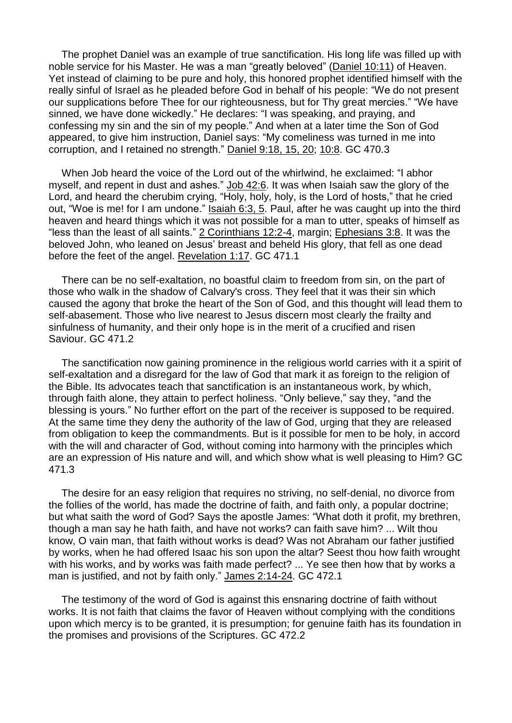The prophet Daniel was an example of true sanctification. His long life was filled up with noble service for his Master. He was a man "greatly beloved" [\(Daniel](https://m.egwwritings.org/en/book/1965.44942#44942) 10:11) of Heaven. Yet instead of claiming to be pure and holy, this honored prophet identified himself with the really sinful of Israel as he pleaded before God in behalf of his people: "We do not present our supplications before Thee for our righteousness, but for Thy great mercies." "We have sinned, we have done wickedly." He declares: "I was speaking, and praying, and confessing my sin and the sin of my people." And when at a later time the Son of God appeared, to give him instruction, Daniel says: "My comeliness was turned in me into corruption, and I retained no strength." [Daniel](https://m.egwwritings.org/en/book/1965.44901#44901) 9:18, 15, 20; [10:8.](https://m.egwwritings.org/en/book/1965.44936#44936) GC 470.3

When Job heard the voice of the Lord out of the whirlwind, he exclaimed: "I abhor myself, and repent in dust and ashes." Job [42:6.](https://m.egwwritings.org/en/book/1965.28355#28355) It was when Isaiah saw the glory of the Lord, and heard the cherubim crying, "Holy, holy, holy, is the Lord of hosts," that he cried out, "Woe is me! for I am undone." [Isaiah](https://m.egwwritings.org/en/book/1965.36255#36255) 6:3, 5. Paul, after he was caught up into the third heaven and heard things which it was not possible for a man to utter, speaks of himself as "less than the least of all saints." 2 [Corinthians](https://m.egwwritings.org/en/book/1965.59188#59188) 12:2-4, margin; [Ephesians](https://m.egwwritings.org/en/book/1965.59670#59670) 3:8. It was the beloved John, who leaned on Jesus' breast and beheld His glory, that fell as one dead before the feet of the angel. [Revelation](https://m.egwwritings.org/en/book/1965.62665#62665) 1:17. GC 471.1

There can be no self-exaltation, no boastful claim to freedom from sin, on the part of those who walk in the shadow of Calvary's cross. They feel that it was their sin which caused the agony that broke the heart of the Son of God, and this thought will lead them to self-abasement. Those who live nearest to Jesus discern most clearly the frailty and sinfulness of humanity, and their only hope is in the merit of a crucified and risen Saviour. GC 471.2

The sanctification now gaining prominence in the religious world carries with it a spirit of self-exaltation and a disregard for the law of God that mark it as foreign to the religion of the Bible. Its advocates teach that sanctification is an instantaneous work, by which, through faith alone, they attain to perfect holiness. "Only believe," say they, "and the blessing is yours." No further effort on the part of the receiver is supposed to be required. At the same time they deny the authority of the law of God, urging that they are released from obligation to keep the commandments. But is it possible for men to be holy, in accord with the will and character of God, without coming into harmony with the principles which are an expression of His nature and will, and which show what is well pleasing to Him? GC 471.3

The desire for an easy religion that requires no striving, no self-denial, no divorce from the follies of the world, has made the doctrine of faith, and faith only, a popular doctrine; but what saith the word of God? Says the apostle James: "What doth it profit, my brethren, though a man say he hath faith, and have not works? can faith save him? ... Wilt thou know, O vain man, that faith without works is dead? Was not Abraham our father justified by works, when he had offered Isaac his son upon the altar? Seest thou how faith wrought with his works, and by works was faith made perfect? ... Ye see then how that by works a man is justified, and not by faith only." James [2:14-24.](https://m.egwwritings.org/en/book/1965.61824#61824) GC 472.1

The testimony of the word of God is against this ensnaring doctrine of faith without works. It is not faith that claims the favor of Heaven without complying with the conditions upon which mercy is to be granted, it is presumption; for genuine faith has its foundation in the promises and provisions of the Scriptures. GC 472.2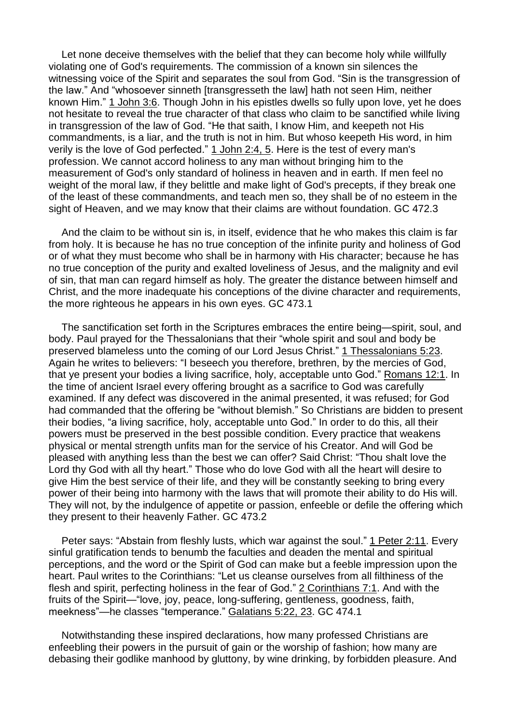Let none deceive themselves with the belief that they can become holy while willfully violating one of God's requirements. The commission of a known sin silences the witnessing voice of the Spirit and separates the soul from God. "Sin is the transgression of the law." And "whosoever sinneth [transgresseth the law] hath not seen Him, neither known Him." 1 [John](https://m.egwwritings.org/en/book/1965.62397#62397) 3:6. Though John in his epistles dwells so fully upon love, yet he does not hesitate to reveal the true character of that class who claim to be sanctified while living in transgression of the law of God. "He that saith, I know Him, and keepeth not His commandments, is a liar, and the truth is not in him. But whoso keepeth His word, in him verily is the love of God perfected." 1 [John](https://m.egwwritings.org/en/book/1965.62334#62334) 2:4, 5. Here is the test of every man's profession. We cannot accord holiness to any man without bringing him to the measurement of God's only standard of holiness in heaven and in earth. If men feel no weight of the moral law, if they belittle and make light of God's precepts, if they break one of the least of these commandments, and teach men so, they shall be of no esteem in the sight of Heaven, and we may know that their claims are without foundation. GC 472.3

And the claim to be without sin is, in itself, evidence that he who makes this claim is far from holy. It is because he has no true conception of the infinite purity and holiness of God or of what they must become who shall be in harmony with His character; because he has no true conception of the purity and exalted loveliness of Jesus, and the malignity and evil of sin, that man can regard himself as holy. The greater the distance between himself and Christ, and the more inadequate his conceptions of the divine character and requirements, the more righteous he appears in his own eyes. GC 473.1

The sanctification set forth in the Scriptures embraces the entire being—spirit, soul, and body. Paul prayed for the Thessalonians that their "whole spirit and soul and body be preserved blameless unto the coming of our Lord Jesus Christ." 1 [Thessalonians](https://m.egwwritings.org/en/book/1965.60459#60459) 5:23. Again he writes to believers: "I beseech you therefore, brethren, by the mercies of God, that ye present your bodies a living sacrifice, holy, acceptable unto God." [Romans](https://m.egwwritings.org/en/book/1965.57598#57598) 12:1. In the time of ancient Israel every offering brought as a sacrifice to God was carefully examined. If any defect was discovered in the animal presented, it was refused; for God had commanded that the offering be "without blemish." So Christians are bidden to present their bodies, "a living sacrifice, holy, acceptable unto God." In order to do this, all their powers must be preserved in the best possible condition. Every practice that weakens physical or mental strength unfits man for the service of his Creator. And will God be pleased with anything less than the best we can offer? Said Christ: "Thou shalt love the Lord thy God with all thy heart." Those who do love God with all the heart will desire to give Him the best service of their life, and they will be constantly seeking to bring every power of their being into harmony with the laws that will promote their ability to do His will. They will not, by the indulgence of appetite or passion, enfeeble or defile the offering which they present to their heavenly Father. GC 473.2

Peter says: "Abstain from fleshly lusts, which war against the soul." 1 [Peter](https://m.egwwritings.org/en/book/1965.62036#62036) 2:11. Every sinful gratification tends to benumb the faculties and deaden the mental and spiritual perceptions, and the word or the Spirit of God can make but a feeble impression upon the heart. Paul writes to the Corinthians: "Let us cleanse ourselves from all filthiness of the flesh and spirit, perfecting holiness in the fear of God." 2 [Corinthians](https://m.egwwritings.org/en/book/1965.58969#58969) 7:1. And with the fruits of the Spirit—"love, joy, peace, long-suffering, gentleness, goodness, faith, meekness"—he classes "temperance." [Galatians](https://m.egwwritings.org/en/book/1965.59515#59515) 5:22, 23. GC 474.1

Notwithstanding these inspired declarations, how many professed Christians are enfeebling their powers in the pursuit of gain or the worship of fashion; how many are debasing their godlike manhood by gluttony, by wine drinking, by forbidden pleasure. And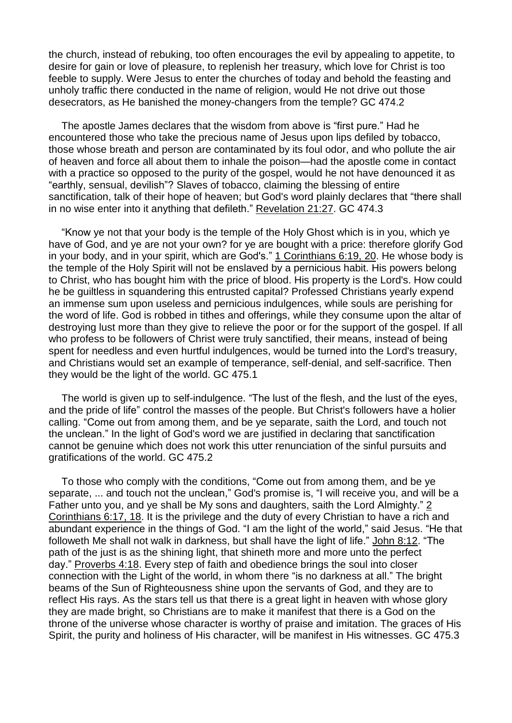the church, instead of rebuking, too often encourages the evil by appealing to appetite, to desire for gain or love of pleasure, to replenish her treasury, which love for Christ is too feeble to supply. Were Jesus to enter the churches of today and behold the feasting and unholy traffic there conducted in the name of religion, would He not drive out those desecrators, as He banished the money-changers from the temple? GC 474.2

The apostle James declares that the wisdom from above is "first pure." Had he encountered those who take the precious name of Jesus upon lips defiled by tobacco, those whose breath and person are contaminated by its foul odor, and who pollute the air of heaven and force all about them to inhale the poison—had the apostle come in contact with a practice so opposed to the purity of the gospel, would he not have denounced it as "earthly, sensual, devilish"? Slaves of tobacco, claiming the blessing of entire sanctification, talk of their hope of heaven; but God's word plainly declares that "there shall in no wise enter into it anything that defileth." [Revelation](https://m.egwwritings.org/en/book/1965.63417#63417) 21:27. GC 474.3

"Know ye not that your body is the temple of the Holy Ghost which is in you, which ye have of God, and ye are not your own? for ye are bought with a price: therefore glorify God in your body, and in your spirit, which are God's." 1 [Corinthians](https://m.egwwritings.org/en/book/1965.58089#58089) 6:19, 20. He whose body is the temple of the Holy Spirit will not be enslaved by a pernicious habit. His powers belong to Christ, who has bought him with the price of blood. His property is the Lord's. How could he be guiltless in squandering this entrusted capital? Professed Christians yearly expend an immense sum upon useless and pernicious indulgences, while souls are perishing for the word of life. God is robbed in tithes and offerings, while they consume upon the altar of destroying lust more than they give to relieve the poor or for the support of the gospel. If all who profess to be followers of Christ were truly sanctified, their means, instead of being spent for needless and even hurtful indulgences, would be turned into the Lord's treasury, and Christians would set an example of temperance, self-denial, and self-sacrifice. Then they would be the light of the world. GC 475.1

The world is given up to self-indulgence. "The lust of the flesh, and the lust of the eyes, and the pride of life" control the masses of the people. But Christ's followers have a holier calling. "Come out from among them, and be ye separate, saith the Lord, and touch not the unclean." In the light of God's word we are justified in declaring that sanctification cannot be genuine which does not work this utter renunciation of the sinful pursuits and gratifications of the world. GC 475.2

To those who comply with the conditions, "Come out from among them, and be ye separate, ... and touch not the unclean," God's promise is, "I will receive you, and will be a Father unto you, and ye shall be My sons and daughters, saith the Lord Almighty." [2](https://m.egwwritings.org/en/book/1965.58964#58964) [Corinthians](https://m.egwwritings.org/en/book/1965.58964#58964) 6:17, 18. It is the privilege and the duty of every Christian to have a rich and abundant experience in the things of God. "I am the light of the world," said Jesus. "He that followeth Me shall not walk in darkness, but shall have the light of life." [John](https://m.egwwritings.org/en/book/1965.53837#53837) 8:12. "The path of the just is as the shining light, that shineth more and more unto the perfect day." [Proverbs](https://m.egwwritings.org/en/book/1965.33671#33671) 4:18. Every step of faith and obedience brings the soul into closer connection with the Light of the world, in whom there "is no darkness at all." The bright beams of the Sun of Righteousness shine upon the servants of God, and they are to reflect His rays. As the stars tell us that there is a great light in heaven with whose glory they are made bright, so Christians are to make it manifest that there is a God on the throne of the universe whose character is worthy of praise and imitation. The graces of His Spirit, the purity and holiness of His character, will be manifest in His witnesses. GC 475.3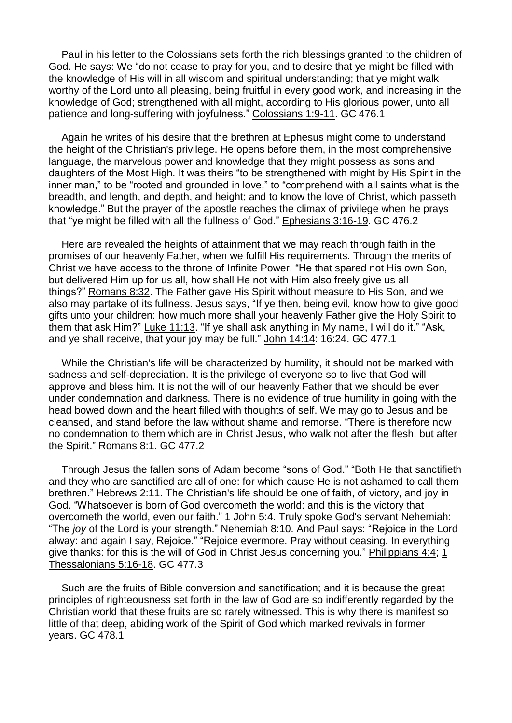Paul in his letter to the Colossians sets forth the rich blessings granted to the children of God. He says: We "do not cease to pray for you, and to desire that ye might be filled with the knowledge of His will in all wisdom and spiritual understanding; that ye might walk worthy of the Lord unto all pleasing, being fruitful in every good work, and increasing in the knowledge of God; strengthened with all might, according to His glorious power, unto all patience and long-suffering with joyfulness." [Colossians](https://m.egwwritings.org/en/book/1965.60110#60110) 1:9-11. GC 476.1

Again he writes of his desire that the brethren at Ephesus might come to understand the height of the Christian's privilege. He opens before them, in the most comprehensive language, the marvelous power and knowledge that they might possess as sons and daughters of the Most High. It was theirs "to be strengthened with might by His Spirit in the inner man," to be "rooted and grounded in love," to "comprehend with all saints what is the breadth, and length, and depth, and height; and to know the love of Christ, which passeth knowledge." But the prayer of the apostle reaches the climax of privilege when he prays that "ye might be filled with all the fullness of God." [Ephesians](https://m.egwwritings.org/en/book/1965.59686#59686) 3:16-19. GC 476.2

Here are revealed the heights of attainment that we may reach through faith in the promises of our heavenly Father, when we fulfill His requirements. Through the merits of Christ we have access to the throne of Infinite Power. "He that spared not His own Son, but delivered Him up for us all, how shall He not with Him also freely give us all things?" [Romans](https://m.egwwritings.org/en/book/1965.57398#57398) 8:32. The Father gave His Spirit without measure to His Son, and we also may partake of its fullness. Jesus says, "If ye then, being evil, know how to give good gifts unto your children: how much more shall your heavenly Father give the Holy Spirit to them that ask Him?" Luke [11:13.](https://m.egwwritings.org/en/book/1965.51865#51865) "If ye shall ask anything in My name, I will do it." "Ask, and ye shall receive, that your joy may be full." John [14:14:](https://m.egwwritings.org/en/book/1965.54421#54421) 16:24. GC 477.1

While the Christian's life will be characterized by humility, it should not be marked with sadness and self-depreciation. It is the privilege of everyone so to live that God will approve and bless him. It is not the will of our heavenly Father that we should be ever under condemnation and darkness. There is no evidence of true humility in going with the head bowed down and the heart filled with thoughts of self. We may go to Jesus and be cleansed, and stand before the law without shame and remorse. "There is therefore now no condemnation to them which are in Christ Jesus, who walk not after the flesh, but after the Spirit." [Romans](https://m.egwwritings.org/en/book/1965.57336#57336) 8:1. GC 477.2

Through Jesus the fallen sons of Adam become "sons of God." "Both He that sanctifieth and they who are sanctified are all of one: for which cause He is not ashamed to call them brethren." [Hebrews](https://m.egwwritings.org/en/book/1965.61172#61172) 2:11. The Christian's life should be one of faith, of victory, and joy in God. "Whatsoever is born of God overcometh the world: and this is the victory that overcometh the world, even our faith." 1 [John](https://m.egwwritings.org/en/book/1965.62485#62485) 5:4. Truly spoke God's servant Nehemiah: "The *joy* of the Lord is your strength." [Nehemiah](https://m.egwwritings.org/en/book/1965.25446#25446) 8:10. And Paul says: "Rejoice in the Lord alway: and again I say, Rejoice." "Rejoice evermore. Pray without ceasing. In everything give thanks: for this is the will of God in Christ Jesus concerning you." [Philippians](https://m.egwwritings.org/en/book/1965.60052#60052) 4:4; [1](https://m.egwwritings.org/en/book/1965.60445#60445) [Thessalonians](https://m.egwwritings.org/en/book/1965.60445#60445) 5:16-18. GC 477.3

Such are the fruits of Bible conversion and sanctification; and it is because the great principles of righteousness set forth in the law of God are so indifferently regarded by the Christian world that these fruits are so rarely witnessed. This is why there is manifest so little of that deep, abiding work of the Spirit of God which marked revivals in former years. GC 478.1